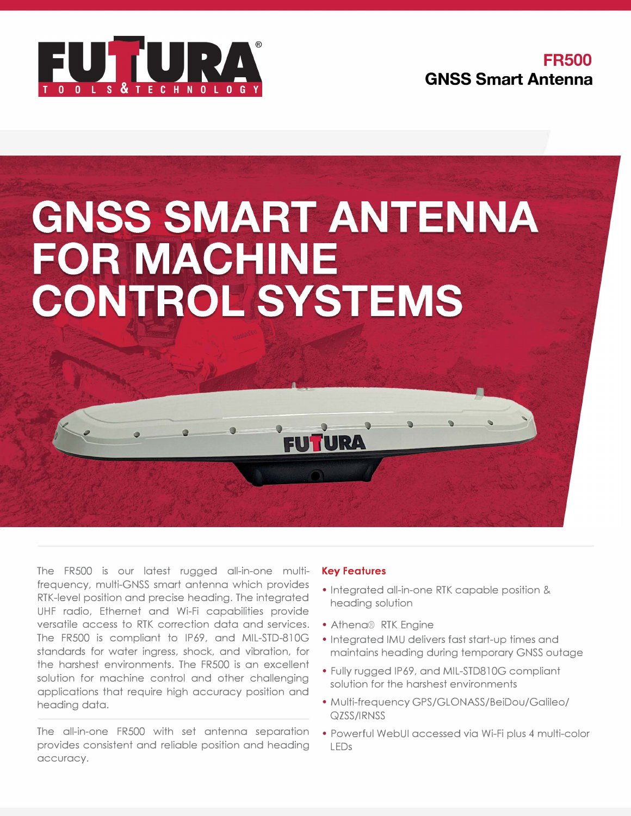

**FR500 GNSS Smart Antenna** 

# **GNSS SMART ANTENNA FOR MACHINE CONTROL SYSTEMS**

The FRS00 is our latest rugged all-in-one multifrequency, multi-GNSS smart antenna which provides RTK-level position and precise heading. The integrated UHF radio, Ethernet and Wi-Fi capabilities provide versatile access to RTK correction data and services. The FRS00 is compliant to IP69, and MIL-STD-810G standards for water ingress, shock, and vibration, for the harshest environments. The FRS00 is an excellent solution for machine control and other challenging applications that require high accuracy position and heading data.

The all-in-one FRS00 with set antenna separation provides consistent and reliable position and heading accuracy.

### **Key Features**

- Integrated all-in-one RTK capable position & heading solution
- Athena® RTK Engine
- Integrated IMU delivers fast start-up times and maintains heading during temporary GNSS outage
- Fully rugged IP69, and MIL-STD810G compliant solution for the harshest environments
- Multi-frequency GPS/GLONASS/BeiDou/Galileo/ QZSS/IRNSS
- Powerful WebUI accessed via Wi-Fi plus 4 multi-color LEDs